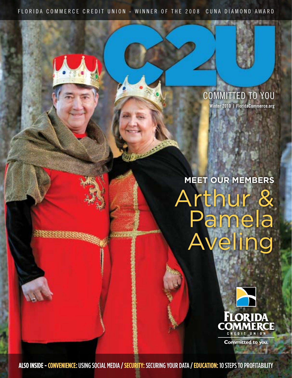FLORIDA COMMERCE CREDIT UNION - WINNER OF THE 2008 CUNA DIAMOND AWARD

#### COMMITTED TO YOU **Winter 2010 | FloridaCommerce.org**

**Meet Our Members** rthur amela ling



**Committed to you.** 

**ALSO INSIDE - CONVENIENCE:** using social media **/ SECURITY:**SECURING YOUR DATA **/ Education:** 10 STEPS TO PROFITABILITY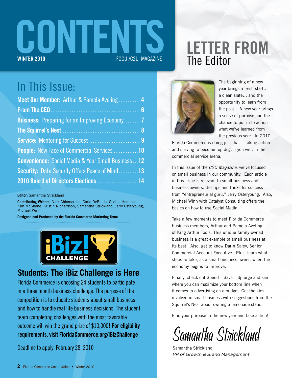

## **Letter From** The Editor

### In This Issue:

| Meet Our Member: Arthur & Pamela Aveling  4                |
|------------------------------------------------------------|
|                                                            |
| <b>Business:</b> Preparing for an Improving Economy 7      |
|                                                            |
|                                                            |
| <b>People:</b> New Face of Commercial Services 10          |
| <b>Convenience:</b> Social Media & Your Small Business  12 |
| <b>Security:</b> Data Security Offers Peace of Mind13      |
| 2010 Board of Directors Elections 14                       |

**Editor:** Samantha Strickland

**Contributing Writers:** Nick Chiamardas, Carla DeBaldo, Cecilia Homison, Kim McShane, Kristin Richardson, Samantha Strickland, Jerry Osteryoung, Michael Winn

**Designed and Produced by the Florida Commerce Marketing Team**



### **Students: The iBiz Challenge is Here**

Florida Commerce is choosing 24 students to participate in a three month business challenge. The purpose of the me and competition is to educate students about small business and how to handle real life business decisions. The student team completing challenges with the most favorable outcome will win the grand prize of \$10,000! **For eligibility requirements, visit FloridaCommerce.org/iBizChallenge**

Deadline to apply: February 28, 2010



The beginning of a new year brings a fresh start… a clean slate… and the opportunity to learn from the past. A new year brings a sense of purpose and the chance to put in to action what we've learned from the previous year. In 2010,

Florida Commerce is doing just that… taking action and striving to become top dog, if you will, in the commercial service arena.

In this issue of the *C2U Magazine*, we've focused on small business in our community. Each article in this issue is relevant to small business and business owners. Get tips and tricks for success from "entrepreneurial guru," Jerry Osteryoung. Also, Michael Winn with Catalyst Consulting offers the basics on how to use Social Media.

Take a few moments to meet Florida Commerce business members, Arthur and Pamela Aveling of King Arthur Tools. This unique family-owned business is a great example of small business at its best. Also, get to know Darin Saley, Senior Commercial Account Executive. Plus, learn what steps to take, as a small business owner, when the economy begins to improve.

Finally, check out Spend – Save – Splurge and see where you can maximize your bottom line when it comes to advertising on a budget. Get the kids involved in small business with suggestions from the Squirrel's Nest about owning a lemonade stand.

Find your purpose in the new year and take action!

Samantha Strickland

Samantha Strickland *VP of Growth & Brand Management*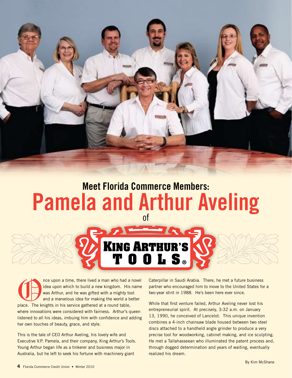

# **Meet Florida Commerce Members: Pamela and Arthur Aveling**



The upon a time, there lived a man who had a novel<br>
idea upon which to build a new kingdom. His name<br>
was Arthur, and he was gifted with a mighty tool<br>
and a marvelous idea for making the world a better<br>
place. The knights idea upon which to build a new kingdom. His name was Arthur, and he was gifted with a mighty tool and a marvelous idea for making the world a better where innovations were considered with fairness. Arthur's queen listened to all his ideas, imbuing him with confidence and adding her own touches of beauty, grace, and style.

This is the tale of CEO Arthur Aveling, his lovely wife and Executive V.P. Pamela, and their company, King Arthur's Tools. Young Arthur began life as a tinkerer and business major in Australia, but he left to seek his fortune with machinery giant

Caterpillar in Saudi Arabia. There, he met a future business partner who encouraged him to move to the United States for a two-year stint in 1988. He's been here ever since.

While that first venture failed, Arthur Aveling never lost his entrepreneurial spirit. At precisely, 3:32 a.m. on January 13, 1990, he conceived of Lancelot. This unique invention combines a 4-inch chainsaw blade housed between two steel discs attached to a handheld angle grinder to produce a very precise tool for woodworking, cabinet making, and ice sculpting. He met a Tallahasseean who illuminated the patent process and, through dogged determination and years of waiting, eventually realized his dream.